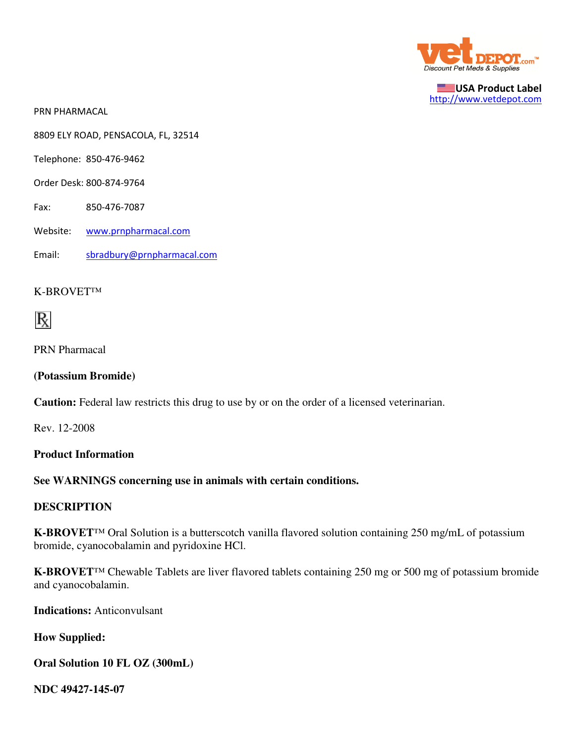

USA Product Label http://www.vetdepot.com

PRN PHARMACAL

8809 ELY ROAD, PENSACOLA, FL, 32514

Telephone: 850-476-9462

- Order Desk: 800-874-9764
- Fax: 850-476-7087
- Website: www.prnpharmacal.com
- Email: sbradbury@prnpharmacal.com

#### K-BROVET™



PRN Pharmacal

#### **(Potassium Bromide)**

**Caution:** Federal law restricts this drug to use by or on the order of a licensed veterinarian.

Rev. 12-2008

#### **Product Information**

### **See WARNINGS concerning use in animals with certain conditions.**

#### **DESCRIPTION**

**K-BROVET**™ Oral Solution is a butterscotch vanilla flavored solution containing 250 mg/mL of potassium bromide, cyanocobalamin and pyridoxine HCl.

**K-BROVET**™ Chewable Tablets are liver flavored tablets containing 250 mg or 500 mg of potassium bromide and cyanocobalamin.

**Indications:** Anticonvulsant

**How Supplied:**

#### **Oral Solution 10 FL OZ (300mL)**

**NDC 49427-145-07**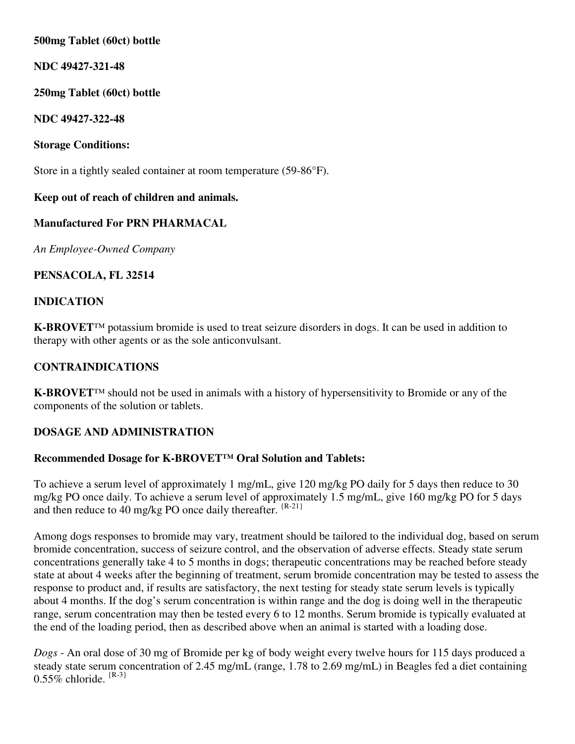# **500mg Tablet (60ct) bottle**

# **NDC 49427-321-48**

# **250mg Tablet (60ct) bottle**

## **NDC 49427-322-48**

# **Storage Conditions:**

Store in a tightly sealed container at room temperature (59-86°F).

# **Keep out of reach of children and animals.**

# **Manufactured For PRN PHARMACAL**

*An Employee-Owned Company*

# **PENSACOLA, FL 32514**

## **INDICATION**

**K-BROVET**™ potassium bromide is used to treat seizure disorders in dogs. It can be used in addition to therapy with other agents or as the sole anticonvulsant.

# **CONTRAINDICATIONS**

**K-BROVET**™ should not be used in animals with a history of hypersensitivity to Bromide or any of the components of the solution or tablets.

# **DOSAGE AND ADMINISTRATION**

## **Recommended Dosage for K-BROVET™ Oral Solution and Tablets:**

To achieve a serum level of approximately 1 mg/mL, give 120 mg/kg PO daily for 5 days then reduce to 30 mg/kg PO once daily. To achieve a serum level of approximately 1.5 mg/mL, give 160 mg/kg PO for 5 days and then reduce to 40 mg/kg PO once daily thereafter.  ${^{R-21}}$ 

Among dogs responses to bromide may vary, treatment should be tailored to the individual dog, based on serum bromide concentration, success of seizure control, and the observation of adverse effects. Steady state serum concentrations generally take 4 to 5 months in dogs; therapeutic concentrations may be reached before steady state at about 4 weeks after the beginning of treatment, serum bromide concentration may be tested to assess the response to product and, if results are satisfactory, the next testing for steady state serum levels is typically about 4 months. If the dog's serum concentration is within range and the dog is doing well in the therapeutic range, serum concentration may then be tested every 6 to 12 months. Serum bromide is typically evaluated at the end of the loading period, then as described above when an animal is started with a loading dose.

*Dogs* - An oral dose of 30 mg of Bromide per kg of body weight every twelve hours for 115 days produced a steady state serum concentration of 2.45 mg/mL (range, 1.78 to 2.69 mg/mL) in Beagles fed a diet containing  $0.55\%$  chloride.  ${R-3}$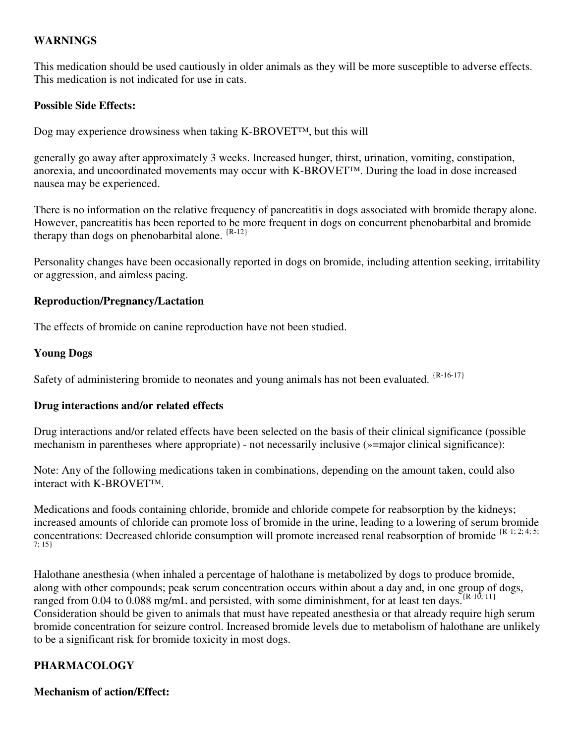## **WARNINGS**

This medication should be used cautiously in older animals as they will be more susceptible to adverse effects. This medication is not indicated for use in cats.

## **Possible Side Effects:**

Dog may experience drowsiness when taking K-BROVET™, but this will

generally go away after approximately 3 weeks. Increased hunger, thirst, urination, vomiting, constipation, anorexia, and uncoordinated movements may occur with K-BROVET™. During the load in dose increased nausea may be experienced.

There is no information on the relative frequency of pancreatitis in dogs associated with bromide therapy alone. However, pancreatitis has been reported to be more frequent in dogs on concurrent phenobarbital and bromide therapy than dogs on phenobarbital alone. {R-12}

Personality changes have been occasionally reported in dogs on bromide, including attention seeking, irritability or aggression, and aimless pacing.

## **Reproduction/Pregnancy/Lactation**

The effects of bromide on canine reproduction have not been studied.

### **Young Dogs**

Safety of administering bromide to neonates and young animals has not been evaluated. <sup>{R-16-17}</sup>

## **Drug interactions and/or related effects**

Drug interactions and/or related effects have been selected on the basis of their clinical significance (possible mechanism in parentheses where appropriate) - not necessarily inclusive (»=major clinical significance):

Note: Any of the following medications taken in combinations, depending on the amount taken, could also interact with K-BROVET™.

Medications and foods containing chloride, bromide and chloride compete for reabsorption by the kidneys; increased amounts of chloride can promote loss of bromide in the urine, leading to a lowering of serum bromide concentrations: Decreased chloride consumption will promote increased renal reabsorption of bromide  ${^{R-1; 2; 4; 5;}}$ 7; 15}

Halothane anesthesia (when inhaled a percentage of halothane is metabolized by dogs to produce bromide, along with other compounds; peak serum concentration occurs within about a day and, in one group of dogs, ranged from 0.04 to 0.088 mg/mL and persisted, with some diminishment, for at least ten days.  $\left[\text{R-10; 11}\right]$ Consideration should be given to animals that must have repeated anesthesia or that already require high serum bromide concentration for seizure control. Increased bromide levels due to metabolism of halothane are unlikely to be a significant risk for bromide toxicity in most dogs.

# **PHARMACOLOGY**

## **Mechanism of action/Effect:**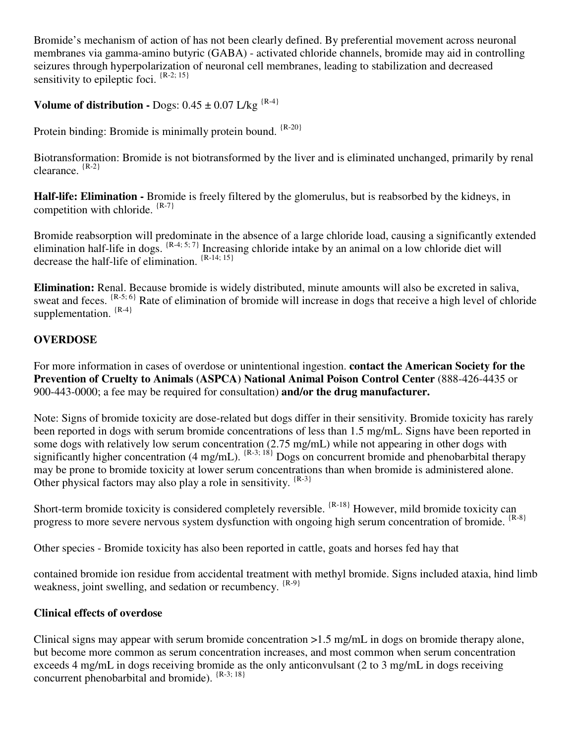Bromide's mechanism of action of has not been clearly defined. By preferential movement across neuronal membranes via gamma-amino butyric (GABA) - activated chloride channels, bromide may aid in controlling seizures through hyperpolarization of neuronal cell membranes, leading to stabilization and decreased sensitivity to epileptic foci.  $\{R-2, 15\}$ 

**Volume of distribution -** Dogs:  $0.45 \pm 0.07$  L/kg  $^{\{R-4\}}$ 

Protein binding: Bromide is minimally protein bound. <sup>{R-20}</sup>

Biotransformation: Bromide is not biotransformed by the liver and is eliminated unchanged, primarily by renal clearance. {R-2}

**Half-life: Elimination -** Bromide is freely filtered by the glomerulus, but is reabsorbed by the kidneys, in competition with chloride. {R-7}

Bromide reabsorption will predominate in the absence of a large chloride load, causing a significantly extended elimination half-life in dogs.  $\{R-4, 5, 7\}$  Increasing chloride intake by an animal on a low chloride diet will decrease the half-life of elimination.  $\{R-14, 15\}$ 

**Elimination:** Renal. Because bromide is widely distributed, minute amounts will also be excreted in saliva, sweat and feces.  $\{R-5, 6\}$  Rate of elimination of bromide will increase in dogs that receive a high level of chloride supplementation.  ${R-4}$ 

# **OVERDOSE**

For more information in cases of overdose or unintentional ingestion. **contact the American Society for the Prevention of Cruelty to Animals (ASPCA) National Animal Poison Control Center** (888-426-4435 or 900-443-0000; a fee may be required for consultation) **and/or the drug manufacturer.**

Note: Signs of bromide toxicity are dose-related but dogs differ in their sensitivity. Bromide toxicity has rarely been reported in dogs with serum bromide concentrations of less than 1.5 mg/mL. Signs have been reported in some dogs with relatively low serum concentration (2.75 mg/mL) while not appearing in other dogs with significantly higher concentration (4 mg/mL).  $\{R-3; 18\}$  Dogs on concurrent bromide and phenobarbital therapy may be prone to bromide toxicity at lower serum concentrations than when bromide is administered alone. Other physical factors may also play a role in sensitivity.  ${R-3}$ 

Short-term bromide toxicity is considered completely reversible.  $\{R-18\}$  However, mild bromide toxicity can progress to more severe nervous system dysfunction with ongoing high serum concentration of bromide. <sup>{R-8}</sup>

Other species - Bromide toxicity has also been reported in cattle, goats and horses fed hay that

contained bromide ion residue from accidental treatment with methyl bromide. Signs included ataxia, hind limb weakness, joint swelling, and sedation or recumbency. <sup>{R-9}</sup>

## **Clinical effects of overdose**

Clinical signs may appear with serum bromide concentration >1.5 mg/mL in dogs on bromide therapy alone, but become more common as serum concentration increases, and most common when serum concentration exceeds 4 mg/mL in dogs receiving bromide as the only anticonvulsant (2 to 3 mg/mL in dogs receiving concurrent phenobarbital and bromide). {R-3; 18}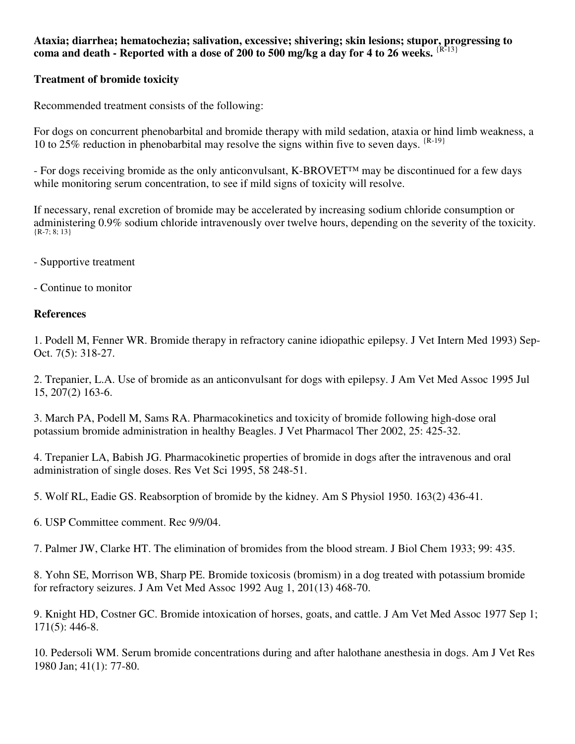### **Ataxia; diarrhea; hematochezia; salivation, excessive; shivering; skin lesions; stupor, progressing to** coma and death - Reported with a dose of 200 to 500 mg/kg a day for 4 to 26 weeks.  ${R-13}$

## **Treatment of bromide toxicity**

Recommended treatment consists of the following:

For dogs on concurrent phenobarbital and bromide therapy with mild sedation, ataxia or hind limb weakness, a 10 to 25% reduction in phenobarbital may resolve the signs within five to seven days.  $\{R-19\}$ 

- For dogs receiving bromide as the only anticonvulsant, K-BROVET™ may be discontinued for a few days while monitoring serum concentration, to see if mild signs of toxicity will resolve.

If necessary, renal excretion of bromide may be accelerated by increasing sodium chloride consumption or administering 0.9% sodium chloride intravenously over twelve hours, depending on the severity of the toxicity.  ${R-7; 8; 13}$ 

- Supportive treatment
- Continue to monitor

# **References**

1. Podell M, Fenner WR. Bromide therapy in refractory canine idiopathic epilepsy. J Vet Intern Med 1993) Sep-Oct. 7(5): 318-27.

2. Trepanier, L.A. Use of bromide as an anticonvulsant for dogs with epilepsy. J Am Vet Med Assoc 1995 Jul 15, 207(2) 163-6.

3. March PA, Podell M, Sams RA. Pharmacokinetics and toxicity of bromide following high-dose oral potassium bromide administration in healthy Beagles. J Vet Pharmacol Ther 2002, 25: 425-32.

4. Trepanier LA, Babish JG. Pharmacokinetic properties of bromide in dogs after the intravenous and oral administration of single doses. Res Vet Sci 1995, 58 248-51.

5. Wolf RL, Eadie GS. Reabsorption of bromide by the kidney. Am S Physiol 1950. 163(2) 436-41.

6. USP Committee comment. Rec 9/9/04.

7. Palmer JW, Clarke HT. The elimination of bromides from the blood stream. J Biol Chem 1933; 99: 435.

8. Yohn SE, Morrison WB, Sharp PE. Bromide toxicosis (bromism) in a dog treated with potassium bromide for refractory seizures. J Am Vet Med Assoc 1992 Aug 1, 201(13) 468-70.

9. Knight HD, Costner GC. Bromide intoxication of horses, goats, and cattle. J Am Vet Med Assoc 1977 Sep 1; 171(5): 446-8.

10. Pedersoli WM. Serum bromide concentrations during and after halothane anesthesia in dogs. Am J Vet Res 1980 Jan; 41(1): 77-80.